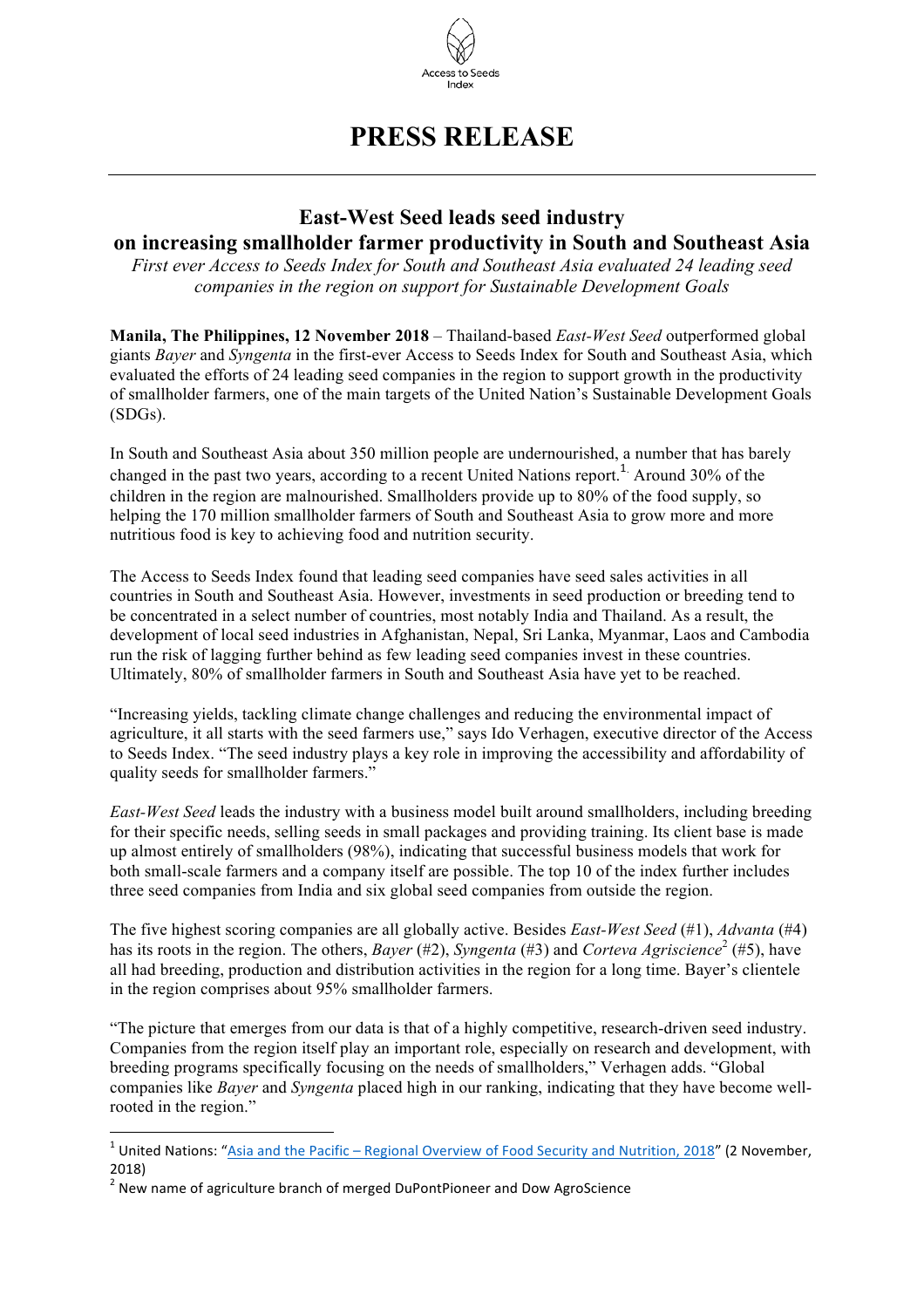

## **PRESS RELEASE**

## **East-West Seed leads seed industry on increasing smallholder farmer productivity in South and Southeast Asia**

*First ever Access to Seeds Index for South and Southeast Asia evaluated 24 leading seed companies in the region on support for Sustainable Development Goals*

**Manila, The Philippines, 12 November 2018** – Thailand-based *East-West Seed* outperformed global giants *Bayer* and *Syngenta* in the first-ever Access to Seeds Index for South and Southeast Asia, which evaluated the efforts of 24 leading seed companies in the region to support growth in the productivity of smallholder farmers, one of the main targets of the United Nation's Sustainable Development Goals (SDGs).

In South and Southeast Asia about 350 million people are undernourished, a number that has barely changed in the past two years, according to a recent United Nations report.<sup>1</sup> Around 30% of the children in the region are malnourished. Smallholders provide up to 80% of the food supply, so helping the 170 million smallholder farmers of South and Southeast Asia to grow more and more nutritious food is key to achieving food and nutrition security.

The Access to Seeds Index found that leading seed companies have seed sales activities in all countries in South and Southeast Asia. However, investments in seed production or breeding tend to be concentrated in a select number of countries, most notably India and Thailand. As a result, the development of local seed industries in Afghanistan, Nepal, Sri Lanka, Myanmar, Laos and Cambodia run the risk of lagging further behind as few leading seed companies invest in these countries. Ultimately, 80% of smallholder farmers in South and Southeast Asia have yet to be reached.

"Increasing yields, tackling climate change challenges and reducing the environmental impact of agriculture, it all starts with the seed farmers use," says Ido Verhagen, executive director of the Access to Seeds Index. "The seed industry plays a key role in improving the accessibility and affordability of quality seeds for smallholder farmers."

*East-West Seed* leads the industry with a business model built around smallholders, including breeding for their specific needs, selling seeds in small packages and providing training. Its client base is made up almost entirely of smallholders (98%), indicating that successful business models that work for both small-scale farmers and a company itself are possible. The top 10 of the index further includes three seed companies from India and six global seed companies from outside the region.

The five highest scoring companies are all globally active. Besides *East-West Seed* (#1), *Advanta* (#4) has its roots in the region. The others, *Bayer* (#2), *Syngenta* (#3) and *Corteva Agriscience*<sup>2</sup> (#5), have all had breeding, production and distribution activities in the region for a long time. Bayer's clientele in the region comprises about 95% smallholder farmers.

"The picture that emerges from our data is that of a highly competitive, research-driven seed industry. Companies from the region itself play an important role, especially on research and development, with breeding programs specifically focusing on the needs of smallholders," Verhagen adds. "Global companies like *Bayer* and *Syngenta* placed high in our ranking, indicating that they have become wellrooted in the region."

 $1$  United Nations: "Asia and the Pacific – Regional Overview of Food Security and Nutrition, 2018" (2 November, 2018)

 $2$  New name of agriculture branch of merged DuPontPioneer and Dow AgroScience